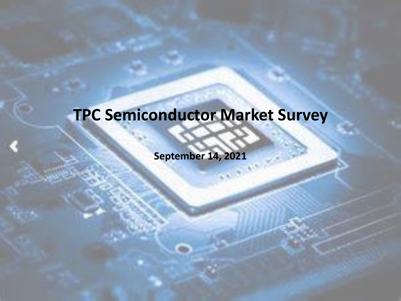### **TPC Semiconductor Market Survey**

**September 14, 2021**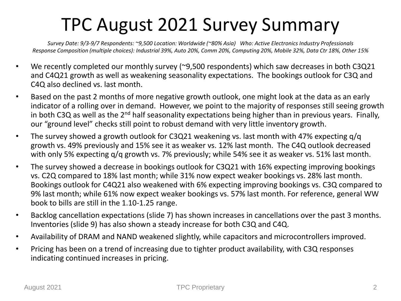### TPC August 2021 Survey Summary

*Survey Date: 9/3-9/7 Respondents: ~9,500 Location: Worldwide (~80% Asia) Who: Active Electronics Industry Professionals Response Composition (multiple choices): Industrial 39%, Auto 20%, Comm 20%, Computing 20%, Mobile 32%, Data Ctr 18%, Other 15%*

- We recently completed our monthly survey (~9,500 respondents) which saw decreases in both C3Q21 and C4Q21 growth as well as weakening seasonality expectations. The bookings outlook for C3Q and C4Q also declined vs. last month.
- Based on the past 2 months of more negative growth outlook, one might look at the data as an early indicator of a rolling over in demand. However, we point to the majority of responses still seeing growth in both C3Q as well as the 2<sup>nd</sup> half seasonality expectations being higher than in previous years. Finally, our "ground level" checks still point to robust demand with very little inventory growth.
- The survey showed a growth outlook for C3Q21 weakening vs. last month with 47% expecting g/g growth vs. 49% previously and 15% see it as weaker vs. 12% last month. The C4Q outlook decreased with only 5% expecting q/q growth vs. 7% previously; while 54% see it as weaker vs. 51% last month.
- The survey showed a decrease in bookings outlook for C3Q21 with 16% expecting improving bookings vs. C2Q compared to 18% last month; while 31% now expect weaker bookings vs. 28% last month. Bookings outlook for C4Q21 also weakened with 6% expecting improving bookings vs. C3Q compared to 9% last month; while 61% now expect weaker bookings vs. 57% last month. For reference, general WW book to bills are still in the 1.10-1.25 range.
- Backlog cancellation expectations (slide 7) has shown increases in cancellations over the past 3 months. Inventories (slide 9) has also shown a steady increase for both C3Q and C4Q.
- Availability of DRAM and NAND weakened slightly, while capacitors and microcontrollers improved.
- Pricing has been on a trend of increasing due to tighter product availability, with C3Q responses indicating continued increases in pricing.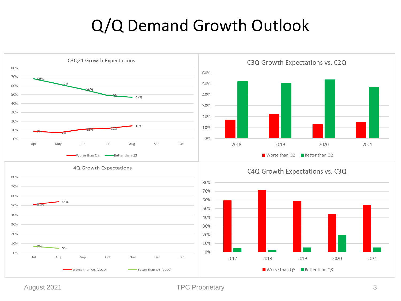#### Q/Q Demand Growth Outlook

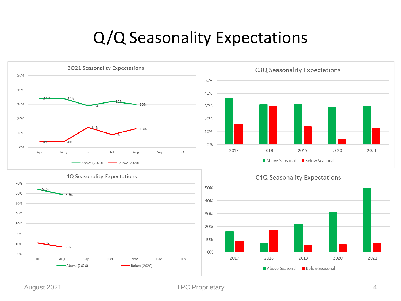#### Q/Q Seasonality Expectations

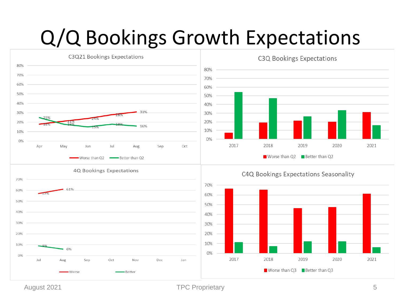## Q/Q Bookings Growth Expectations



August 2021 **TPC Proprietary** 5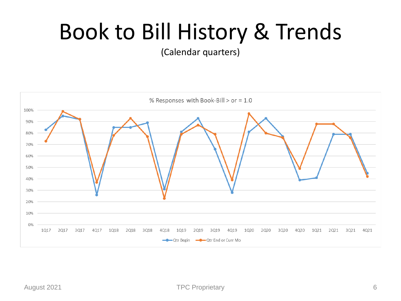## Book to Bill History & Trends

(Calendar quarters)

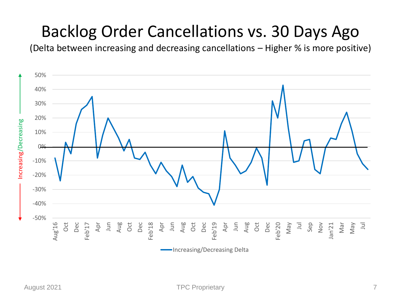#### Backlog Order Cancellations vs. 30 Days Ago

(Delta between increasing and decreasing cancellations – Higher % is more positive)

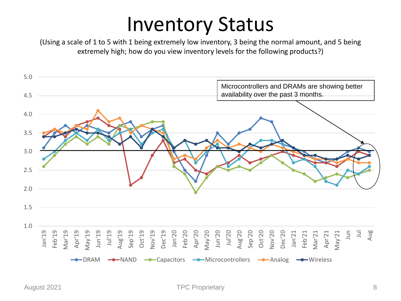## Inventory Status

(Using a scale of 1 to 5 with 1 being extremely low inventory, 3 being the normal amount, and 5 being extremely high; how do you view inventory levels for the following products?)

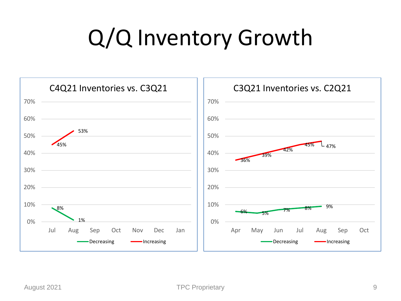## Q/Q Inventory Growth

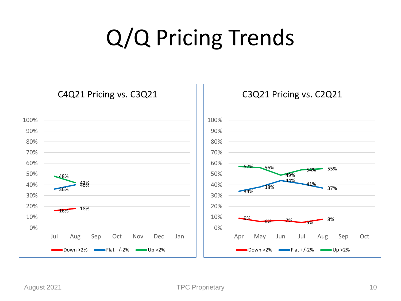# Q/Q Pricing Trends